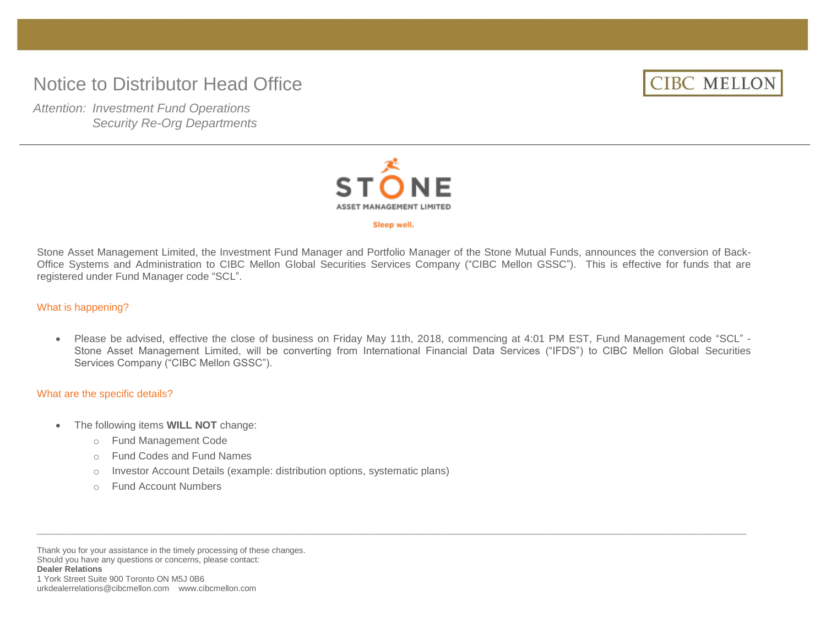# Notice to Distributor Head Office



*Attention: Investment Fund Operations Security Re-Org Departments*



#### Sleep well.

Stone Asset Management Limited, the Investment Fund Manager and Portfolio Manager of the Stone Mutual Funds, announces the conversion of Back-Office Systems and Administration to CIBC Mellon Global Securities Services Company ("CIBC Mellon GSSC"). This is effective for funds that are registered under Fund Manager code "SCL".

What is happening?

 Please be advised, effective the close of business on Friday May 11th, 2018, commencing at 4:01 PM EST, Fund Management code "SCL" - Stone Asset Management Limited, will be converting from International Financial Data Services ("IFDS") to CIBC Mellon Global Securities Services Company ("CIBC Mellon GSSC").

 $\bot$  , and the state of the state of the state of the state of the state of the state of the state of the state of the state of the state of the state of the state of the state of the state of the state of the state of th

#### What are the specific details?

- The following items **WILL NOT** change:
	- o Fund Management Code
	- o Fund Codes and Fund Names
	- o Investor Account Details (example: distribution options, systematic plans)
	- o Fund Account Numbers

Thank you for your assistance in the timely processing of these changes. Should you have any questions or concerns, please contact: **Dealer Relations** 1 York Street Suite 900 Toronto ON M5J 0B6 urkdealerrelations@cibcmellon.com www.cibcmellon.com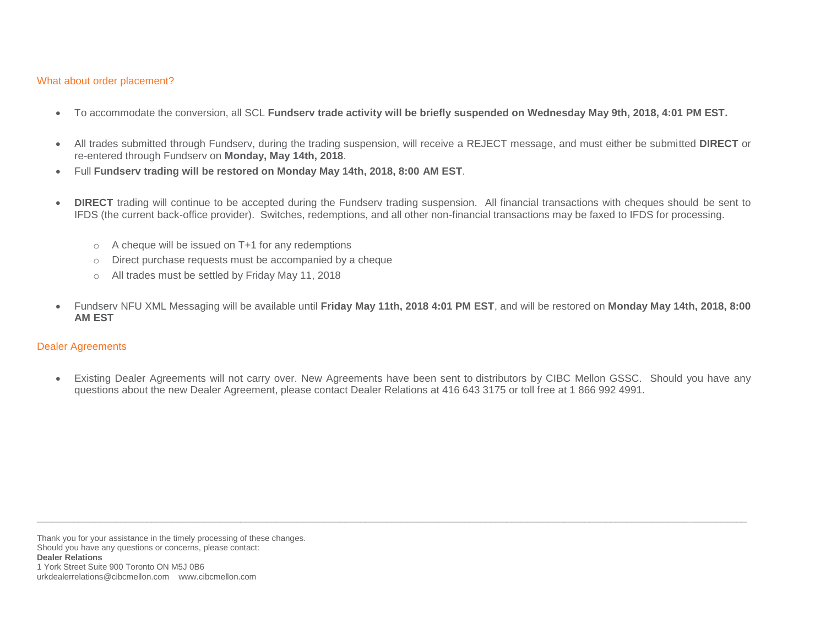### What about order placement?

- To accommodate the conversion, all SCL **Fundserv trade activity will be briefly suspended on Wednesday May 9th, 2018, 4:01 PM EST.**
- All trades submitted through Fundserv, during the trading suspension, will receive a REJECT message, and must either be submitted **DIRECT** or re-entered through Fundserv on **Monday, May 14th, 2018**.
- Full **Fundserv trading will be restored on Monday May 14th, 2018, 8:00 AM EST**.
- **DIRECT** trading will continue to be accepted during the Fundserv trading suspension. All financial transactions with cheques should be sent to IFDS (the current back-office provider). Switches, redemptions, and all other non-financial transactions may be faxed to IFDS for processing.
	- o A cheque will be issued on T+1 for any redemptions
	- o Direct purchase requests must be accompanied by a cheque
	- o All trades must be settled by Friday May 11, 2018
- Fundserv NFU XML Messaging will be available until **Friday May 11th, 2018 4:01 PM EST**, and will be restored on **Monday May 14th, 2018, 8:00 AM EST**

### Dealer Agreements

 Existing Dealer Agreements will not carry over. New Agreements have been sent to distributors by CIBC Mellon GSSC. Should you have any questions about the new Dealer Agreement, please contact Dealer Relations at 416 643 3175 or toll free at 1 866 992 4991.

 $\Box$  . The contribution of the contribution of the contribution of the contribution of the contribution of the contribution of the contribution of the contribution of the contribution of the contribution of the contributi

Thank you for your assistance in the timely processing of these changes. Should you have any questions or concerns, please contact: **Dealer Relations** 1 York Street Suite 900 Toronto ON M5J 0B6 urkdealerrelations@cibcmellon.com www.cibcmellon.com